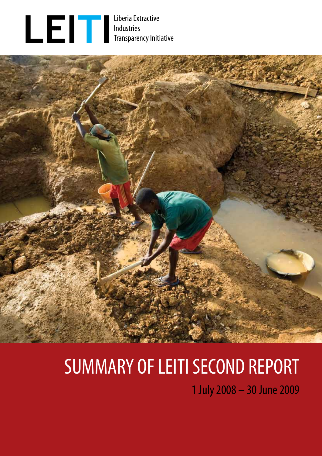

Industries Transparency Initiative



# SUMMARY OF LEITI SECOND REPORT

1 July 2008 – 30 June 2009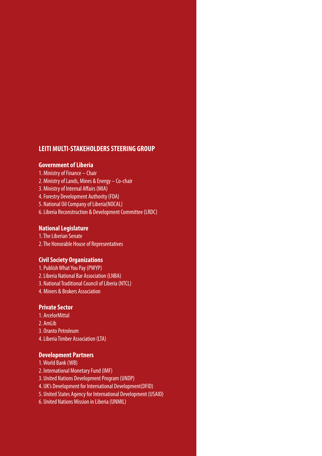# **LEITI MULTI-STAKEHOLDERS STEERING GROUP**

# **Government of Liberia**

- 1. Ministry of Finance Chair
- 2. Ministry of Lands, Mines & Energy Co-chair
- 3. Ministry of Internal Affairs (MIA)
- 4. Forestry Development Authority (FDA)
- 5. National Oil Company of Liberia(NOCAL)
- 6. Liberia Reconstruction & Development Committee (LRDC)

# **National Legislature**

1. The Liberian Senate 2. The Honorable House of Representatives

# **Civil Society Organizations**

- 1. Publish What You Pay (PWYP) 2. Liberia National Bar Association (LNBA)
- 3. National Traditional Council of Liberia (NTCL)
- 4. Miners & Brokers Association

# **Private Sector**

- 1. ArcelorMittal
- 2. AmLib
- 3. Oranto Petroleum
- 4. Liberia Timber Association (LTA)

# **Development Partners**

- 1. World Bank (WB)
- 2. International Monetary Fund (IMF)
- 3. United Nations Development Program (UNDP)
- 4. UK's Development for International Development(DFID)
- 5. United States Agency for International Development (USAID)
- 6. United Nations Mission in Liberia (UNMIL)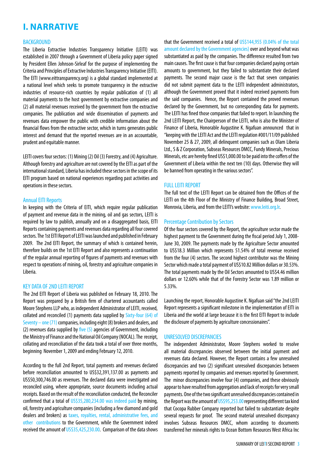# **I. NARRATIVE**

#### BACKGROUND

The Liberia Extractive Industries Transparency Initiative (LEITI) was established in 2007 through a Government of Liberia policy paper signed by President Ellen Johnson-Sirleaf for the purpose of implementing the Criteria and Principles of Extractive Industries Transparency Initiative (EITI). The EITI (www.eittransparency.org) is a global standard implemented at a national level which seeks to promote transparency in the extractive industries of resource-rich countries by regular publication of (1) all material payments to the host government by extractive companies and (2) all material revenues received by the government from the extractive companies. The publication and wide dissemination of payments and revenues data empower the public with credible information about the financial flows from the extractive sector, which in turns generates public interest and demand that the reported revenues are in an accountable, prudent and equitable manner.

LEITI covers four sectors: (1) Mining (2) Oil (3) Forestry, and (4) Agriculture. Although forestry and agriculture are not covered by the EITI as part of the international standard, Liberia has included these sectors in the scope of its EITI program based on national experiences regarding past activities and operations in these sectors.

#### Annual EITI Reports

In keeping with the Criteria of EITI, which require regular publication of payment and revenue data in the mining, oil and gas sectors, LEITI is required by law to publish, annually and on a disaggregated basis, EITI Reports containing payments and revenues data regarding all four covered sectors. The 1st EITI Report of LEITI was launched and published in February 2009. The 2nd EITI Report, the summary of which is contained herein, therefore builds on the 1st EITI Report and also represents a continuation of the regular annual reporting of figures of payments and revenues with respect to operations of mining, oil, forestry and agriculture companies in Liberia.

#### KEY DATA OF 2ND LEITI REPORT

The 2nd EITI Report of Liberia was published on February 18, 2010. The Report was prepared by a British firm of chartered accountants called Moore Stephens LLP who, as independent Administrator of LEITI, received, collated and reconciled (1) payments data supplied by Sixty-four (64) of Seventy – one (71) companies, including eight (8) brokers and dealers, and (2) revenues data supplied by five  $(5)$  agencies of Government, including the Ministry of Finance and the National Oil Company (NOCAL). The receipt, collating and reconciliation of the data took a total of over three months, beginning November 1, 2009 and ending February 12, 2010.

According to the full 2nd Report, total payments and revenues declared before reconciliation amounted to US\$32,391,137.00 as payments and US\$50,300,746.00 as revenues. The declared data were investigated and reconciled using, where appropriate, source documents including actual receipts. Based on the result of the reconciliation conducted, the Reconciler confirmed that a total of US\$35,280,234.00 was indeed paid by mining, oil, forestry and agriculture companies (including a few diamond and gold dealers and brokers) as taxes, royalties, rental, administrative fees, and other contributions to the Government, while the Government indeed received the amount of US\$35,425,230.00. Comparison of the data shows that the Government received a total of US\$144,955 (0.04% of the total amount declared by the Government agencies) over and beyond what was substantiated as paid by the companies. The difference resulted from two main causes. The first cause is that four companies declared paying certain amounts to government, but they failed to substantiate their declared payments. The second major cause is the fact that seven companies did not submit payment data to the LEITI independent administrators, although the Government proved that it indeed received payments from the said companies. Hence, the Report contained the proved revenues declared by the Government, but no corresponding data for payments. The LEITI has fined those companies that failed to report. In launching the 2nd LEITI Report, the Chairperson of the LEITI, who is also the Minister of Finance of Liberia, Honorable Augustine K. Ngafuan announced that in "keeping with the LEITI Act and the LEITI regulation #001/11/09 published November 25 & 27, 2009, all delinquent companies such as Olam Liberia Ltd., S & Z Corporation, Subseas Resources DMCC, Fundy Minerals, Precious Minerals, etc are hereby fined US\$1,000.00 to be paid into the coffers of the Government of Liberia within the next ten (10) days. Otherwise they will be banned from operating in the various sectors".

#### FULL LEITI REPORT

The full text of the LEITI Report can be obtained from the Offices of the LEITI on the 4th Floor of the Ministry of Finance Building, Broad Street, Monrovia, Liberia, and from the LEITI's website: www.leiti.org.lr.

#### Percentage Contribution by Sectors

Of the four sectors covered by the Report, the agriculture sector made the highest payment to the Government during the fiscal period July 1, 2008- June 30, 2009. The payments made by the Agriculture Sector amounted to US\$18.3 Million which represents 51.54% of total revenue received from the four (4) sectors. The second highest contributor was the Mining Sector which made a total payment of US\$10.82 Million dollars or 30.53%. The total payments made by the Oil Sectors amounted to US\$4.46 million dollars or 12.60% while that of the Forestry Sector was 1.89 million or 5.33%.

Launching the report, Honorable Augustine K. Ngafuan said "the 2nd LEITI Report represents a significant milestone in the implementation of EITI in Liberia and the world at large because it is the first EITI Report to include the disclosure of payments by agriculture concessionaires".

#### UNRESOLVED DISCREPANCIES

The independent Administrator, Moore Stephens worked to resolve all material discrepancies observed between the initial payment and revenues data declared. However, the Report contains a few unresolved discrepancies and two (2) significant unresolved discrepancies between payments reported by companies and revenues reported by Government. The minor discrepancies involve four (4) companies, and these obviously appear to have resulted from aggregation and lack of receipts for very small payments. One of the two significant unresolved discrepancies contained in the Report was the amount of US\$95,253.00 representing different tax kind that Cocopa Rubber Company reported but failed to substantiate despite several requests for proof. The second material unresolved discrepancy involves Subseas Resources DMCC, whom according to documents transferred her minerals rights to Ocean Bottom Resources West Africa Inc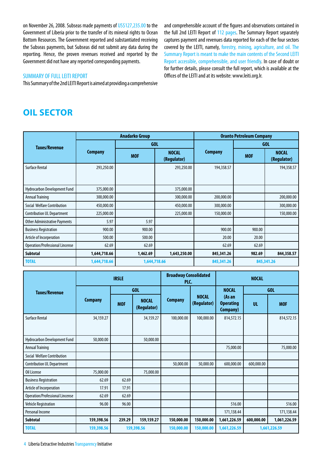on November 26, 2008. Subseas made payments of US\$127,235.00 to the Government of Liberia prior to the transfer of its mineral rights to Ocean Bottom Resources. The Government reported and substantiated receiving the Subseas payments, but Subseas did not submit any data during the reporting. Hence, the proven revenues received and reported by the Government did not have any reported corresponding payments.

#### SUMMARY OF FULL LEITI REPORT

This Summary of the 2nd LEITI Report is aimed at providing a comprehensive

and comprehensible account of the figures and observations contained in the full 2nd LEITI Report of 112 pages. The Summary Report separately captures payment and revenues data reported for each of the four sectors covered by the LEITI, namely, forestry, mining, agriculture, and oil. The Summary Report is meant to make the main contents of the Second LEITI Report accessible, comprehensible, and user friendly. In case of doubt or for further details, please consult the full report, which is available at the Offices of the LEITI and at its website: www.leiti.org.lr.

# **OIL SECTOR**

|                                      |                | <b>Anadarko Group</b> |                             | <b>Oranto Petroleum Company</b> |            |                             |  |
|--------------------------------------|----------------|-----------------------|-----------------------------|---------------------------------|------------|-----------------------------|--|
| <b>Taxes/Revenue</b>                 |                | <b>GOL</b>            |                             |                                 | GOL        |                             |  |
|                                      | <b>Company</b> | <b>MOF</b>            | <b>NOCAL</b><br>(Regulator) | <b>Company</b>                  | <b>MOF</b> | <b>NOCAL</b><br>(Regulator) |  |
| <b>Surface Rental</b>                | 293,250.00     |                       | 293,250.00                  | 194,358.57                      |            | 194,358.57                  |  |
| Hydrocarbon Development Fund         | 375,000.00     |                       | 375,000.00                  |                                 |            |                             |  |
| <b>Annual Training</b>               | 300,000.00     |                       | 300,000.00                  | 200,000.00                      |            | 200,000.00                  |  |
| Social Welfare Contribution          | 450,000.00     |                       | 450,000.00                  | 300,000.00                      |            | 300,000.00                  |  |
| <b>Contribution UL Department</b>    | 225,000.00     |                       | 225,000.00                  | 150,000.00                      |            | 150,000.00                  |  |
| <b>Other Administrative Payments</b> | 5.97           | 5.97                  |                             |                                 |            |                             |  |
| <b>Business Registration</b>         | 900.00         | 900.00                |                             | 900.00                          | 900.00     |                             |  |
| Article of Incorperation             | 500.00         | 500.00                |                             | 20.00                           | 20.00      |                             |  |
| Operation/Professional Lincense      | 62.69          | 62.69                 |                             | 62.69                           | 62.69      |                             |  |
| <b>Subtotal</b>                      | 1,644,718.66   | 1,462.69              | 1,643,250.00                | 845,341.26                      | 982.69     | 844,358.57                  |  |
| <b>TOTAL</b>                         | 1,644,718.66   | 1,644,718.66          |                             | 845,341.26                      |            | 845,341.26                  |  |

|                                        |                | <b>IRSLE</b> |                             | <b>Broadway Consolidated</b><br>PLC. |                             | <b>NOCAL</b>                                   |            |              |
|----------------------------------------|----------------|--------------|-----------------------------|--------------------------------------|-----------------------------|------------------------------------------------|------------|--------------|
| Taxes/Revenue                          |                | GOL          |                             |                                      |                             | <b>NOCAL</b>                                   | <b>GOL</b> |              |
|                                        | <b>Company</b> | <b>MOF</b>   | <b>NOCAL</b><br>(Regulator) | <b>Company</b>                       | <b>NOCAL</b><br>(Regulator) | (As an<br><b>Operating</b><br><b>Company</b> ) | <b>UL</b>  | <b>MOF</b>   |
| <b>Surface Rental</b>                  | 34,159.27      |              | 34,159.27                   | 100,000.00                           | 100,000.00                  | 814,572.15                                     |            | 814,572.15   |
| Hydrocarbon Development Fund           | 50,000.00      |              | 50,000.00                   |                                      |                             |                                                |            |              |
| <b>Annual Training</b>                 |                |              |                             |                                      |                             | 75,000.00                                      |            | 75,000.00    |
| Social Welfare Contribution            |                |              |                             |                                      |                             |                                                |            |              |
| <b>Contribution UL Department</b>      |                |              |                             | 50,000.00                            | 50,000.00                   | 600,000.00                                     | 600,000.00 |              |
| Oil License                            | 75,000.00      |              | 75,000.00                   |                                      |                             |                                                |            |              |
| <b>Business Registration</b>           | 62.69          | 62.69        |                             |                                      |                             |                                                |            |              |
| Article of Incorperation               | 17.91          | 17.91        |                             |                                      |                             |                                                |            |              |
| <b>Operation/Professional Lincense</b> | 62.69          | 62.69        |                             |                                      |                             |                                                |            |              |
| <b>Vehicle Registration</b>            | 96.00          | 96.00        |                             |                                      |                             | 516.00                                         |            | 516.00       |
| Personal Income                        |                |              |                             |                                      |                             | 171,138.44                                     |            | 171,138.44   |
| <b>Subtotal</b>                        | 159,398.56     | 239.29       | 159,159.27                  | 150,000.00                           | 150,000.00                  | 1,661,226.59                                   | 600,000.00 | 1,061,226.59 |
| <b>TOTAL</b>                           | 159,398.56     |              | 159,398.56                  | 150,000.00                           | 150,000.00                  | 1,661,226.59                                   |            | 1,661,226.59 |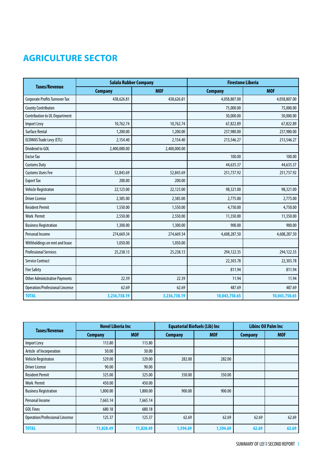# **agriculture sector**

| <b>Taxes/Revenue</b>                   | <b>Salala Rubber Company</b> |              | <b>Firestone Liberia</b> |               |  |
|----------------------------------------|------------------------------|--------------|--------------------------|---------------|--|
|                                        | <b>Company</b>               | <b>MOF</b>   | <b>Company</b>           | <b>MOF</b>    |  |
| Corporate Profits Turnover Tax         | 438,626.81                   | 438,626.81   | 4,058,807.00             | 4,058,807.00  |  |
| <b>County Contributon</b>              |                              |              | 75,000.00                | 75,000.00     |  |
| <b>Contribution to UL Department</b>   |                              |              | 50,000.00                | 50,000.00     |  |
| Import Levy                            | 10,762.74                    | 10,762.74    | 67,822.89                | 67,822.89     |  |
| <b>Surface Rental</b>                  | 1,200.00                     | 1,200.00     | 237,980.00               | 237,980.00    |  |
| <b>ECOWAS Trade Levy (ETL)</b>         | 2,154.40                     | 2,154.40     | 213,546.27               | 213,546.27    |  |
| Dividend to GOL                        | 2,400,000.00                 | 2,400,000.00 |                          |               |  |
| <b>Excise Tax</b>                      |                              |              | 100.00                   | 100.00        |  |
| <b>Customs Duty</b>                    |                              |              | 44,635.37                | 44,635.37     |  |
| <b>Customs Users Fee</b>               | 52,843.69                    | 52,843.69    | 251,737.92               | 251,737.92    |  |
| <b>Export Tax</b>                      | 200.00                       | 200.00       |                          |               |  |
| <b>Vehicle Registraton</b>             | 22,123.00                    | 22,123.00    | 98,321.00                | 98,321.00     |  |
| <b>Driver License</b>                  | 2,385.00                     | 2,385.00     | 2,775.00                 | 2,775.00      |  |
| <b>Resident Permit</b>                 | 1,550.00                     | 1,550.00     | 4,750.00                 | 4,750.00      |  |
| <b>Work Permit</b>                     | 2,550.00                     | 2,550.00     | 11,350.00                | 11,350.00     |  |
| <b>Business Registration</b>           | 1,300.00                     | 1,300.00     | 900.00                   | 900.00        |  |
| Personal Income                        | 274,669.34                   | 274,669.34   | 4,608,287.50             | 4,608,287.50  |  |
| Withholdings on rent and lease         | 1,050.00                     | 1,050.00     |                          |               |  |
| <b>Professional Services</b>           | 25,238.13                    | 25,238.13    | 294,122.35               | 294,122.35    |  |
| <b>Service Contract</b>                |                              |              | 22,303.78                | 22,303.78     |  |
| <b>Fire Safety</b>                     |                              |              | 811.94                   | 811.94        |  |
| <b>Other Administrative Payments</b>   | 22.39                        | 22.39        | 11.94                    | 11.94         |  |
| <b>Operation/Professional Lincense</b> | 62.69                        | 62.69        | 487.69                   | 487.69        |  |
| <b>TOTAL</b>                           | 3,236,738.19                 | 3,236,738.19 | 10,043,750.65            | 10,043,750.65 |  |

| <b>Taxes/Revenue</b>                   |                | <b>Novel Liberia Inc</b> | <b>Equatorial Biofuels (Lib) Inc</b> |            | <b>Libinc Oil Palm Inc.</b> |            |
|----------------------------------------|----------------|--------------------------|--------------------------------------|------------|-----------------------------|------------|
|                                        | <b>Company</b> | <b>MOF</b>               | <b>Company</b>                       | <b>MOF</b> | <b>Company</b>              | <b>MOF</b> |
| Import Levy                            | 113.80         | 113.80                   |                                      |            |                             |            |
| Article of Incorperation               | 50.00          | 50.00                    |                                      |            |                             |            |
| Vehicle Registraton                    | 529.00         | 529.00                   | 282.00                               | 282.00     |                             |            |
| <b>Driver License</b>                  | 90.00          | 90.00                    |                                      |            |                             |            |
| <b>Resident Permit</b>                 | 325.00         | 325.00                   | 350.00                               | 350.00     |                             |            |
| <b>Work Permit</b>                     | 450.00         | 450.00                   |                                      |            |                             |            |
| <b>Business Registration</b>           | 1,800.00       | 1,800.00                 | 900.00                               | 900.00     |                             |            |
| Personal Income                        | 7,665.14       | 7,665.14                 |                                      |            |                             |            |
| <b>GOL Fines</b>                       | 680.18         | 680.18                   |                                      |            |                             |            |
| <b>Operation/Professional Lincense</b> | 125.37         | 125.37                   | 62.69                                | 62.69      | 62.69                       | 62.69      |
| <b>TOTAL</b>                           | 11,828.49      | 11,828.49                | 1,594.69                             | 1,594.69   | 62.69                       | 62.69      |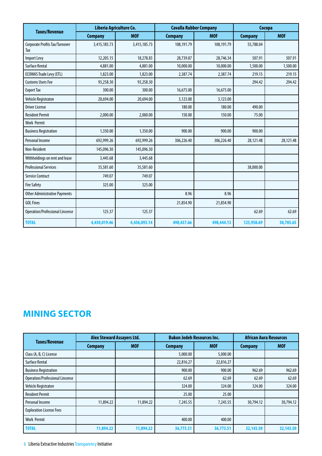|                                              | Liberia Agriculture Co. |              | <b>Cavalla Rubber Company</b> |            | Cocopa         |            |
|----------------------------------------------|-------------------------|--------------|-------------------------------|------------|----------------|------------|
| <b>Taxes/Revenue</b>                         | <b>Company</b>          | <b>MOF</b>   | <b>Company</b>                | <b>MOF</b> | <b>Company</b> | <b>MOF</b> |
| <b>Corporate Profits Tax/Turnover</b><br>Tax | 3,415,185.73            | 3,415,185.73 | 108,191.79                    | 108,191.79 | 55,788.04      |            |
| <b>Import Levy</b>                           | 12,205.15               | 18,278.83    | 28,739.87                     | 28,746.34  | 507.91         | 507.91     |
| <b>Surface Rental</b>                        | 4,881.00                | 4,881.00     | 10,000.00                     | 10,000.00  | 1,500.00       | 1,500.00   |
| <b>ECOWAS Trade Levy (ETL)</b>               | 1,823.00                | 1,823.00     | 2,387.74                      | 2,387.74   | 219.15         | 219.15     |
| <b>Customs Users Fee</b>                     | 93,258.30               | 93,258.30    |                               |            | 294.42         | 294.42     |
| <b>Export Tax</b>                            | 300.00                  | 300.00       | 16,675.00                     | 16,675.00  |                |            |
| <b>Vehicle Registraton</b>                   | 20,694.00               | 20,694.00    | 3,123.00                      | 3,123.00   |                |            |
| <b>Driver License</b>                        |                         |              | 180.00                        | 180.00     | 490.00         |            |
| <b>Resident Permit</b>                       | 2,000.00                | 2,000.00     | 150.00                        | 150.00     | 75.00          |            |
| <b>Work Permit</b>                           |                         |              |                               |            |                |            |
| <b>Business Registration</b>                 | 1,350.00                | 1,350.00     | 900.00                        | 900.00     | 900.00         |            |
| <b>Personal Income</b>                       | 692,999.26              | 692,999.26   | 306,226.40                    | 306,226.40 | 28,121.48      | 28,121.48  |
| Non-Resident                                 | 145,096.30              | 145,096.30   |                               |            |                |            |
| Withholdings on rent and lease               | 3,445.68                | 3,445.68     |                               |            |                |            |
| <b>Professional Services</b>                 | 35,581.60               | 35,581.60    |                               |            | 38,000.00      |            |
| <b>Service Contract</b>                      | 749.07                  | 749.07       |                               |            |                |            |
| <b>Fire Safety</b>                           | 325.00                  | 325.00       |                               |            |                |            |
| <b>Other Administrative Payments</b>         |                         |              | 8.96                          | 8.96       |                |            |
| <b>GOL Fines</b>                             |                         |              | 21,854.90                     | 21,854.90  |                |            |
| <b>Operation/Professional Lincense</b>       | 125.37                  | 125.37       |                               |            | 62.69          | 62.69      |
| <b>TOTAL</b>                                 | 4,430,019.46            | 4,436,093.14 | 498,437.66                    | 498,444.13 | 125,958.69     | 30,705.65  |

# **Mining sector**

|                                        | <b>Alex Steward Assayers Ltd.</b> |            |                | <b>Bukon Jedeh Resources Inc.</b> | <b>African Aura Resources</b> |            |
|----------------------------------------|-----------------------------------|------------|----------------|-----------------------------------|-------------------------------|------------|
| Taxes/Revenue                          | <b>Company</b>                    | <b>MOF</b> | <b>Company</b> | <b>MOF</b>                        | <b>Company</b>                | <b>MOF</b> |
| Class (A, B, C) License                |                                   |            | 5,000.00       | 5,000.00                          |                               |            |
| <b>Surface Rental</b>                  |                                   |            | 22,816.27      | 22,816.27                         |                               |            |
| <b>Business Registration</b>           |                                   |            | 900.00         | 900.00                            | 962.69                        | 962.69     |
| <b>Operation/Professional Lincense</b> |                                   |            | 62.69          | 62.69                             | 62.69                         | 62.69      |
| Vehicle Registraton                    |                                   |            | 324.00         | 324.00                            | 324.00                        | 324.00     |
| <b>Resident Permit</b>                 |                                   |            | 25.00          | 25.00                             |                               |            |
| Personal Income                        | 11,894.22                         | 11,894.22  | 7,245.55       | 7,245.55                          | 30,794.12                     | 30,794.12  |
| <b>Exploration License Fees</b>        |                                   |            |                |                                   |                               |            |
| <b>Work Permit</b>                     |                                   |            | 400.00         | 400.00                            |                               |            |
| <b>TOTAL</b>                           | 11,894.22                         | 11,894.22  | 36,773.51      | 36,773.51                         | 32,143.50                     | 32,143.50  |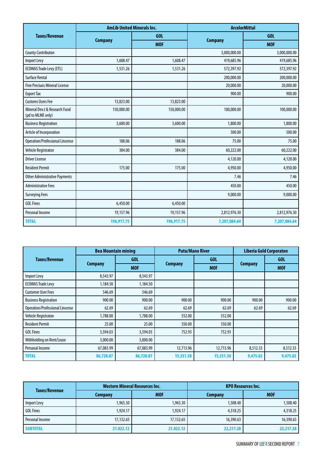|                                                    | <b>AmLib United Minerals Inc.</b> |            | <b>ArcelorMittal</b> |              |  |
|----------------------------------------------------|-----------------------------------|------------|----------------------|--------------|--|
| <b>Taxes/Revenue</b>                               |                                   | GOL        |                      | GOL          |  |
|                                                    | <b>Company</b>                    | <b>MOF</b> | <b>Company</b>       | <b>MOF</b>   |  |
| <b>County Contributon</b>                          |                                   |            | 3,000,000.00         | 3,000,000.00 |  |
| <b>Import Levy</b>                                 | 1,608.47                          | 1,608.47   | 419,685.96           | 419,685.96   |  |
| <b>ECOWAS Trade Levy (ETL)</b>                     | 1,531.26                          | 1,531.26   | 572,397.92           | 572,397.92   |  |
| <b>Surface Rental</b>                              |                                   |            | 200,000.00           | 200,000.00   |  |
| <b>Fine Preciuos Mineral License</b>               |                                   |            | 20,000.00            | 20,000.00    |  |
| <b>Export Tax</b>                                  |                                   |            | 900.00               | 900.00       |  |
| <b>Customs Users Fee</b>                           | 13,823.00                         | 13,823.00  |                      |              |  |
| Mineral Dev.t & Research Fund<br>(pd to MLME only) | 150,000.00                        | 150,000.00 | 100,000.00           | 100,000.00   |  |
| <b>Business Registration</b>                       | 3,600.00                          | 3,600.00   | 1,800.00             | 1,800.00     |  |
| Article of Incorporation                           |                                   |            | 500.00               | 500.00       |  |
| <b>Operation/Professional Lincense</b>             | 188.06                            | 188.06     | 75.00                | 75.00        |  |
| Vehicle Registraton                                | 384.00                            | 384.00     | 60,222.00            | 60,222.00    |  |
| <b>Driver License</b>                              |                                   |            | 4,120.00             | 4,120.00     |  |
| <b>Resident Permit</b>                             | 175.00                            | 175.00     | 4,950.00             | 4,950.00     |  |
| <b>Other Administrative Payments</b>               |                                   |            | 7.46                 | 7.46         |  |
| <b>Administrative Fees</b>                         |                                   |            | 450.00               | 450.00       |  |
| <b>Surveying Fees</b>                              |                                   |            | 9,000.00             | 9,000.00     |  |
| <b>GOL Fines</b>                                   | 6,450.00                          | 6,450.00   |                      |              |  |
| Personal Income                                    | 19,157.96                         | 19,157.96  | 2,812,976.30         | 2,812,976.30 |  |
| <b>TOTAL</b>                                       | 196,917.75                        | 196,917.75 | 7,207,084.64         | 7,207,084.64 |  |

|                                        | <b>Bea Mountain mining</b> |            | <b>Putu/Mano River</b> |            | <b>Liberia Gold Corporaton</b> |            |
|----------------------------------------|----------------------------|------------|------------------------|------------|--------------------------------|------------|
| Taxes/Revenue                          |                            | GOL.       |                        | GOL.       |                                | GOL.       |
|                                        | <b>Company</b>             | <b>MOF</b> | <b>Company</b>         | <b>MOF</b> | <b>Company</b>                 | <b>MOF</b> |
| Import Levy                            | 8,543.97                   | 8,543.97   |                        |            |                                |            |
| <b>ECOWAS Trade Levy</b>               | 1,184.50                   | 1,184.50   |                        |            |                                |            |
| <b>Customer User Fees</b>              | 546.69                     | 546.69     |                        |            |                                |            |
| <b>Business Registration</b>           | 900.00                     | 900.00     | 900.00                 | 900.00     | 900.00                         | 900.00     |
| <b>Operation/Professional Lincense</b> | 62.69                      | 62.69      | 62.69                  | 62.69      | 62.69                          | 62.69      |
| Vehicle Registraton                    | 1,788.00                   | 1,788.00   | 552.00                 | 552.00     |                                |            |
| <b>Resident Permit</b>                 | 25.00                      | 25.00      | 350.00                 | 350.00     |                                |            |
| <b>GOL Fines</b>                       | 3,594.03                   | 3,594.03   | 752.93                 | 752.93     |                                |            |
| Withholding on Rent/Lease              | 3,000.00                   | 3,000.00   |                        |            |                                |            |
| Personal Income                        | 67,083.99                  | 67,083.99  | 12,713.96              | 12,713.96  | 8,512.33                       | 8,512.33   |
| <b>TOTAL</b>                           | 86,728.87                  | 86,728.87  | 15,331.58              | 15,331.58  | 9,475.02                       | 9,475.02   |

|                 |                | <b>Western Mineral Resources Inc.</b> | <b>KPO Resources Inc.</b> |            |  |
|-----------------|----------------|---------------------------------------|---------------------------|------------|--|
| Taxes/Revenue   | <b>Company</b> | <b>MOF</b>                            | <b>Company</b>            | <b>MOF</b> |  |
| Import Levy     | 1,965.30       | 1,965.30                              | 1,508.40                  | 1,508.40   |  |
| GOL Fines       | 1,924.17       | 1.924.17                              | 4,318.25                  | 4,318.25   |  |
| Personal Income | 17,132.65      | 17,132.65                             | 16,390.63                 | 16,390.63  |  |
| <b>SUBTOTAL</b> | 21.022.12      | 21.022.12                             | 22,217.28                 | 22,217.28  |  |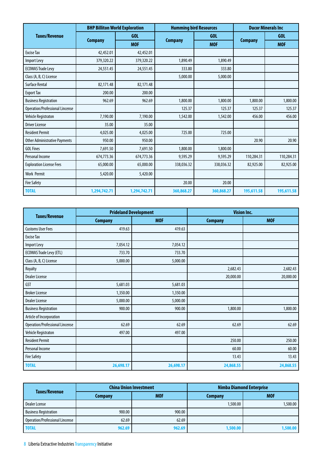|                                        | <b>BHP Billiton World Exploration</b> |              | <b>Humming bird Resources</b> |            | <b>Ducor Minerals Inc.</b> |            |
|----------------------------------------|---------------------------------------|--------------|-------------------------------|------------|----------------------------|------------|
| <b>Taxes/Revenue</b>                   |                                       | GOL          |                               | GOI.       |                            | GOL        |
|                                        | <b>Company</b>                        | <b>MOF</b>   | <b>Company</b>                | <b>MOF</b> | <b>Company</b>             | <b>MOF</b> |
| <b>Excise Tax</b>                      | 42,452.01                             | 42,452.01    |                               |            |                            |            |
| <b>Import Levy</b>                     | 379,320.22                            | 379,320.22   | 1,890.49                      | 1,890.49   |                            |            |
| <b>ECOWAS Trade Levy</b>               | 24,551.45                             | 24,551.45    | 333.80                        | 333.80     |                            |            |
| Class (A, B, C) License                |                                       |              | 5,000.00                      | 5,000.00   |                            |            |
| <b>Surface Rental</b>                  | 82,171.48                             | 82,171.48    |                               |            |                            |            |
| <b>Export Tax</b>                      | 200.00                                | 200.00       |                               |            |                            |            |
| <b>Business Registration</b>           | 962.69                                | 962.69       | 1,800.00                      | 1,800.00   | 1,800.00                   | 1,800.00   |
| <b>Operation/Professional Lincense</b> |                                       |              | 125.37                        | 125.37     | 125.37                     | 125.37     |
| Vehicle Registraton                    | 7,190.00                              | 7,190.00     | 1,542.00                      | 1,542.00   | 456.00                     | 456.00     |
| <b>Driver License</b>                  | 35.00                                 | 35.00        |                               |            |                            |            |
| <b>Resident Permit</b>                 | 4,025.00                              | 4,025.00     | 725.00                        | 725.00     |                            |            |
| <b>Other Administrative Payments</b>   | 950.00                                | 950.00       |                               |            | 20.90                      | 20.90      |
| <b>GOL Fines</b>                       | 7,691.50                              | 7,691.50     | 1,800.00                      | 1,800.00   |                            |            |
| Personal Income                        | 674,773.36                            | 674,773.36   | 9.595.29                      | 9.595.29   | 110,284.31                 | 110,284.31 |
| <b>Exploration License Fees</b>        | 65,000.00                             | 65,000.00    | 338,036.32                    | 338,036.32 | 82,925.00                  | 82,925.00  |
| <b>Work Permit</b>                     | 5,420.00                              | 5,420.00     |                               |            |                            |            |
| <b>Fire Safety</b>                     |                                       |              | 20.00                         | 20.00      |                            |            |
| <b>TOTAL</b>                           | 1,294,742.71                          | 1,294,742.71 | 360,868.27                    | 360,868.27 | 195,611.58                 | 195,611.58 |

|                                        | <b>Prideland Development</b> |            | <b>Vision Inc.</b> |            |  |
|----------------------------------------|------------------------------|------------|--------------------|------------|--|
| <b>Taxes/Revenue</b>                   | <b>Company</b>               | <b>MOF</b> | <b>Company</b>     | <b>MOF</b> |  |
| <b>Customs User Fees</b>               | 419.63                       | 419.63     |                    |            |  |
| <b>Excise Tax</b>                      |                              |            |                    |            |  |
| Import Levy                            | 7,054.12                     | 7,054.12   |                    |            |  |
| <b>ECOWAS Trade Levy (ETL)</b>         | 733.70                       | 733.70     |                    |            |  |
| Class (A, B, C) License                | 5,000.00                     | 5,000.00   |                    |            |  |
| Royalty                                |                              |            | 2,682.43           | 2,682.43   |  |
| <b>Dealer License</b>                  |                              |            | 20,000.00          | 20,000.00  |  |
| GST                                    | 5,681.03                     | 5,681.03   |                    |            |  |
| <b>Broker License</b>                  | 1,350.00                     | 1,350.00   |                    |            |  |
| <b>Dealer License</b>                  | 5,000.00                     | 5,000.00   |                    |            |  |
| <b>Business Registration</b>           | 900.00                       | 900.00     | 1,800.00           | 1,800.00   |  |
| Article of Incorporation               |                              |            |                    |            |  |
| <b>Operation/Professional Lincense</b> | 62.69                        | 62.69      | 62.69              | 62.69      |  |
| Vehicle Registraton                    | 497.00                       | 497.00     |                    |            |  |
| <b>Resident Permit</b>                 |                              |            | 250.00             | 250.00     |  |
| Personal Income                        |                              |            | 60.00              | 60.00      |  |
| <b>Fire Safety</b>                     |                              |            | 13.43              | 13.43      |  |
| <b>TOTAL</b>                           | 26,698.17                    | 26,698.17  | 24,868.55          | 24,868.55  |  |

| Taxes/Revenue                   |                | <b>China Union Investment</b> | <b>Nimba Diamond Enterprise</b> |            |  |
|---------------------------------|----------------|-------------------------------|---------------------------------|------------|--|
|                                 | <b>Company</b> | <b>MOF</b>                    | <b>Company</b>                  | <b>MOF</b> |  |
| Dealer Lcense                   |                |                               | 1,500.00                        | 1,500.00   |  |
| <b>Business Registration</b>    | 900.00         | 900.00                        |                                 |            |  |
| Operation/Professional Lincense | 62.69          | 62.69                         |                                 |            |  |
| <b>TOTAL</b>                    | 962.69         | 962.69                        | 1,500.00                        | 1,500.00   |  |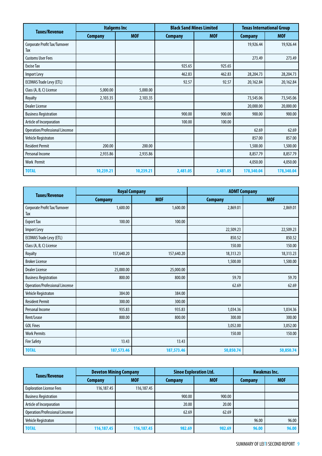|                                        | <b>Italgems Inc</b> |            | <b>Black Sand Mines Limited</b> |            | <b>Texas International Group</b> |            |
|----------------------------------------|---------------------|------------|---------------------------------|------------|----------------------------------|------------|
| <b>Taxes/Revenue</b>                   | <b>Company</b>      | <b>MOF</b> | <b>Company</b>                  | <b>MOF</b> | <b>Company</b>                   | <b>MOF</b> |
| Corporate Profit Tax/Turnover<br>Tax   |                     |            |                                 |            | 19,926.44                        | 19,926.44  |
| <b>Customs User Fees</b>               |                     |            |                                 |            | 273.49                           | 273.49     |
| <b>Excise Tax</b>                      |                     |            | 925.65                          | 925.65     |                                  |            |
| Import Levy                            |                     |            | 462.83                          | 462.83     | 28,204.73                        | 28,204.73  |
| <b>ECOWAS Trade Levy (ETL)</b>         |                     |            | 92.57                           | 92.57      | 20,162.84                        | 20,162.84  |
| Class (A, B, C) License                | 5,000.00            | 5,000.00   |                                 |            |                                  |            |
| Royalty                                | 2,103.35            | 2,103.35   |                                 |            | 73,545.06                        | 73,545.06  |
| <b>Dealer License</b>                  |                     |            |                                 |            | 20,000.00                        | 20,000.00  |
| <b>Business Registration</b>           |                     |            | 900.00                          | 900.00     | 900.00                           | 900.00     |
| Article of Incorporation               |                     |            | 100.00                          | 100.00     |                                  |            |
| <b>Operation/Professional Lincense</b> |                     |            |                                 |            | 62.69                            | 62.69      |
| Vehicle Registraton                    |                     |            |                                 |            | 857.00                           | 857.00     |
| <b>Resident Permit</b>                 | 200.00              | 200.00     |                                 |            | 1,500.00                         | 1,500.00   |
| Personal Income                        | 2,935.86            | 2,935.86   |                                 |            | 8,857.79                         | 8,857.79   |
| <b>Work Permit</b>                     |                     |            |                                 |            | 4,050.00                         | 4,050.00   |
| <b>TOTAL</b>                           | 10,239.21           | 10,239.21  | 2,481.05                        | 2,481.05   | 178,340.04                       | 178,340.04 |

|                                        | <b>Royal Company</b> |            | <b>ADMT Company</b> |            |  |
|----------------------------------------|----------------------|------------|---------------------|------------|--|
| <b>Taxes/Revenue</b>                   | <b>Company</b>       | <b>MOF</b> | <b>Company</b>      | <b>MOF</b> |  |
| Corporate Profit Tax/Turnover<br>Tax   | 1,600.00             | 1,600.00   | 2,869.01            | 2,869.01   |  |
| <b>Export Tax</b>                      | 100.00               | 100.00     |                     |            |  |
| <b>Import Levy</b>                     |                      |            | 22,509.23           | 22,509.23  |  |
| <b>ECOWAS Trade Levy (ETL)</b>         |                      |            | 850.52              | 850.52     |  |
| Class (A, B, C) License                |                      |            | 150.00              | 150.00     |  |
| Royalty                                | 157,640.20           | 157,640.20 | 18,313.23           | 18,313.23  |  |
| <b>Broker License</b>                  |                      |            | 1,500.00            | 1,500.00   |  |
| <b>Dealer License</b>                  | 25,000.00            | 25,000.00  |                     |            |  |
| <b>Business Registration</b>           | 800.00               | 800.00     | 59.70               | 59.70      |  |
| <b>Operation/Professional Lincense</b> |                      |            | 62.69               | 62.69      |  |
| Vehicle Registraton                    | 384.00               | 384.00     |                     |            |  |
| <b>Resident Permit</b>                 | 300.00               | 300.00     |                     |            |  |
| Personal Income                        | 935.83               | 935.83     | 1,034.36            | 1,034.36   |  |
| Rent/Lease                             | 800.00               | 800.00     | 300.00              | 300.00     |  |
| <b>GOL Fines</b>                       |                      |            | 3,052.00            | 3,052.00   |  |
| <b>Work Permits</b>                    |                      |            | 150.00              | 150.00     |  |
| <b>Fire Safety</b>                     | 13.43                | 13.43      |                     |            |  |
| <b>TOTAL</b>                           | 187,573.46           | 187,573.46 | 50,850.74           | 50,850.74  |  |

| <b>Taxes/Revenue</b>            | <b>Deveton Mining Company</b> |            | <b>Sinoe Exploration Ltd.</b> |            | <b>Kwakmas Inc.</b> |            |
|---------------------------------|-------------------------------|------------|-------------------------------|------------|---------------------|------------|
|                                 | <b>Company</b>                | <b>MOF</b> | <b>Company</b>                | <b>MOF</b> | <b>Company</b>      | <b>MOF</b> |
| <b>Exploration License Fees</b> | 116,187.45                    | 116,187.45 |                               |            |                     |            |
| <b>Business Registration</b>    |                               |            | 900.00                        | 900.00     |                     |            |
| Article of Incorporation        |                               |            | 20.00                         | 20.00      |                     |            |
| Operation/Professional Lincense |                               |            | 62.69                         | 62.69      |                     |            |
| Vehicle Registraton             |                               |            |                               |            | 96.00               | 96.00      |
| <b>TOTAL</b>                    | 116,187.45                    | 116,187.45 | 982.69                        | 982.69     | 96.00               | 96.00      |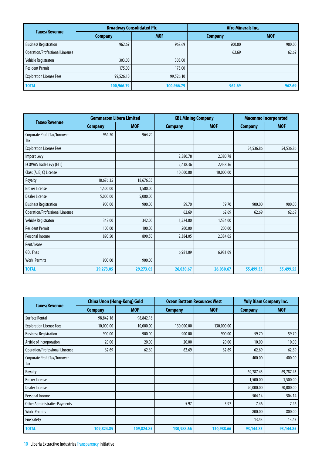| <b>Taxes/Revenue</b>            | <b>Broadway Consolidated Plc</b> |            | <b>Afro Minerals Inc.</b> |            |  |
|---------------------------------|----------------------------------|------------|---------------------------|------------|--|
|                                 | <b>Company</b>                   | <b>MOF</b> | <b>Company</b>            | <b>MOF</b> |  |
| <b>Business Registration</b>    | 962.69                           | 962.69     | 900.00                    | 900.00     |  |
| Operation/Professional Lincense |                                  |            | 62.69                     | 62.69      |  |
| Vehicle Registraton             | 303.00                           | 303.00     |                           |            |  |
| <b>Resident Permit</b>          | 175.00                           | 175.00     |                           |            |  |
| <b>Exploration License Fees</b> | 99,526.10                        | 99,526.10  |                           |            |  |
| <b>TOTAL</b>                    | 100,966.79                       | 100,966.79 | 962.69                    | 962.69     |  |

|                                        | <b>Gemmacom Libera Limited</b> |            | <b>KBL Mining Company</b> |            | <b>Macenmo Incorporated</b> |            |
|----------------------------------------|--------------------------------|------------|---------------------------|------------|-----------------------------|------------|
| <b>Taxes/Revenue</b>                   | <b>Company</b>                 | <b>MOF</b> | <b>Company</b>            | <b>MOF</b> | <b>Company</b>              | <b>MOF</b> |
| Corporate Profit Tax/Turnover<br>Tax   | 964.20                         | 964.20     |                           |            |                             |            |
| <b>Exploration License Fees</b>        |                                |            |                           |            | 54,536.86                   | 54,536.86  |
| Import Levy                            |                                |            | 2,380.78                  | 2,380.78   |                             |            |
| <b>ECOWAS Trade Levy (ETL)</b>         |                                |            | 2,438.36                  | 2,438.36   |                             |            |
| Class (A, B, C) License                |                                |            | 10,000.00                 | 10,000.00  |                             |            |
| Royalty                                | 18,676.35                      | 18,676.35  |                           |            |                             |            |
| <b>Broker License</b>                  | 1,500.00                       | 1,500.00   |                           |            |                             |            |
| <b>Dealer License</b>                  | 5,000.00                       | 5,000.00   |                           |            |                             |            |
| <b>Business Registration</b>           | 900.00                         | 900.00     | 59.70                     | 59.70      | 900.00                      | 900.00     |
| <b>Operation/Professional Lincense</b> |                                |            | 62.69                     | 62.69      | 62.69                       | 62.69      |
| Vehicle Registraton                    | 342.00                         | 342.00     | 1,524.00                  | 1,524.00   |                             |            |
| <b>Resident Permit</b>                 | 100.00                         | 100.00     | 200.00                    | 200.00     |                             |            |
| Personal Income                        | 890.50                         | 890.50     | 2,384.05                  | 2,384.05   |                             |            |
| Rent/Lease                             |                                |            |                           |            |                             |            |
| <b>GOL Fnes</b>                        |                                |            | 6,981.09                  | 6,981.09   |                             |            |
| <b>Work Permits</b>                    | 900.00                         | 900.00     |                           |            |                             |            |
| <b>TOTAL</b>                           | 29,273.05                      | 29,273.05  | 26,030.67                 | 26,030.67  | 55,499.55                   | 55,499.55  |

|                                        | <b>China Unon (Hong-Kong) Gold</b> |            | <b>Ocean Bottom Resources West</b> |            | <b>Yuly Diam Company Inc.</b> |            |
|----------------------------------------|------------------------------------|------------|------------------------------------|------------|-------------------------------|------------|
| <b>Taxes/Revenue</b>                   | <b>Company</b>                     | <b>MOF</b> | <b>Company</b>                     | <b>MOF</b> | <b>Company</b>                | <b>MOF</b> |
| <b>Surface Rental</b>                  | 98,842.16                          | 98,842.16  |                                    |            |                               |            |
| <b>Exploration License Fees</b>        | 10,000.00                          | 10,000.00  | 130,000.00                         | 130,000.00 |                               |            |
| <b>Business Registration</b>           | 900.00                             | 900.00     | 900.00                             | 900.00     | 59.70                         | 59.70      |
| Article of Incorporation               | 20.00                              | 20.00      | 20.00                              | 20.00      | 10.00                         | 10.00      |
| <b>Operation/Professional Lincense</b> | 62.69                              | 62.69      | 62.69                              | 62.69      | 62.69                         | 62.69      |
| Corporate Profit Tax/Turnover<br>Tax   |                                    |            |                                    |            | 400.00                        | 400.00     |
| Royalty                                |                                    |            |                                    |            | 69,787.43                     | 69,787.43  |
| <b>Broker License</b>                  |                                    |            |                                    |            | 1,500.00                      | 1,500.00   |
| <b>Dealer License</b>                  |                                    |            |                                    |            | 20,000.00                     | 20,000.00  |
| Personal Income                        |                                    |            |                                    |            | 504.14                        | 504.14     |
| <b>Other Administrative Payments</b>   |                                    |            | 5.97                               | 5.97       | 7.46                          | 7.46       |
| <b>Work Permits</b>                    |                                    |            |                                    |            | 800.00                        | 800.00     |
| <b>Fire Safety</b>                     |                                    |            |                                    |            | 13.43                         | 13.43      |
| <b>TOTAL</b>                           | 109,824.85                         | 109,824.85 | 130,988.66                         | 130,988.66 | 93,144.85                     | 93,144.85  |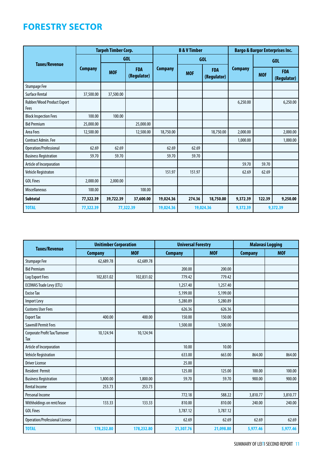# **Forestry sector**

|                                    |                | <b>Tarpeh Timber Corp.</b> |                           |                | <b>B &amp; V Timber</b> |                           |                | <b>Bargo &amp; Bargor Enterprises Inc.</b> |                           |  |
|------------------------------------|----------------|----------------------------|---------------------------|----------------|-------------------------|---------------------------|----------------|--------------------------------------------|---------------------------|--|
| <b>Taxes/Revenue</b>               |                |                            | GOL                       |                |                         | <b>GOL</b>                |                |                                            | <b>GOL</b>                |  |
|                                    | <b>Company</b> | <b>MOF</b>                 | <b>FDA</b><br>(Regulator) | <b>Company</b> | <b>MOF</b>              | <b>FDA</b><br>(Regulator) | <b>Company</b> | <b>MOF</b>                                 | <b>FDA</b><br>(Regulator) |  |
| <b>Stumpage Fee</b>                |                |                            |                           |                |                         |                           |                |                                            |                           |  |
| <b>Surface Rental</b>              | 37,500.00      | 37,500.00                  |                           |                |                         |                           |                |                                            |                           |  |
| Rubber/Wood Product Export<br>Fees |                |                            |                           |                |                         |                           | 6,250.00       |                                            | 6,250.00                  |  |
| <b>Block Inspection Fees</b>       | 100.00         | 100.00                     |                           |                |                         |                           |                |                                            |                           |  |
| <b>Bid Premium</b>                 | 25,000.00      |                            | 25,000.00                 |                |                         |                           |                |                                            |                           |  |
| Area Fees                          | 12,500.00      |                            | 12,500.00                 | 18,750.00      |                         | 18,750.00                 | 2,000.00       |                                            | 2,000.00                  |  |
| Contract Admin, Fee                |                |                            |                           |                |                         |                           | 1,000.00       |                                            | 1,000.00                  |  |
| Operation/Professional             | 62.69          | 62.69                      |                           | 62.69          | 62.69                   |                           |                |                                            |                           |  |
| <b>Business Registration</b>       | 59.70          | 59.70                      |                           | 59.70          | 59.70                   |                           |                |                                            |                           |  |
| Article of Incorporation           |                |                            |                           |                |                         |                           | 59.70          | 59.70                                      |                           |  |
| Vehicle Registraton                |                |                            |                           | 151.97         | 151.97                  |                           | 62.69          | 62.69                                      |                           |  |
| <b>GOL Fines</b>                   | 2,000.00       | 2,000.00                   |                           |                |                         |                           |                |                                            |                           |  |
| <b>Miscellaneous</b>               | 100.00         |                            | 100.00                    |                |                         |                           |                |                                            |                           |  |
| <b>Subtotal</b>                    | 77,322.39      | 39,722.39                  | 37,600.00                 | 19,024.36      | 274.36                  | 18,750.00                 | 9,372.39       | 122.39                                     | 9,250.00                  |  |
| <b>TOTAL</b>                       | 77,322.39      |                            | 77,322.39                 | 19,024.36      |                         | 19,024.36                 | 9.372.39       |                                            | 9.372.39                  |  |

| <b>Taxes/Revenue</b>                  | <b>Unitimber Corporation</b> |            | <b>Universal Forestry</b> |            | <b>Malavasi Logging</b> |            |
|---------------------------------------|------------------------------|------------|---------------------------|------------|-------------------------|------------|
|                                       | <b>Company</b>               | <b>MOF</b> | <b>Company</b>            | <b>MOF</b> | <b>Company</b>          | <b>MOF</b> |
| <b>Stumpage Fee</b>                   | 62,689.78                    | 62,689.78  |                           |            |                         |            |
| <b>Bid Premium</b>                    |                              |            | 200.00                    | 200.00     |                         |            |
| Log Export Fees                       | 102,831.02                   | 102,831.02 | 779.42                    | 779.42     |                         |            |
| <b>ECOWAS Trade Levy (ETL)</b>        |                              |            | 1,257.40                  | 1,257.40   |                         |            |
| <b>Excise Tax</b>                     |                              |            | 5,199.00                  | 5,199.00   |                         |            |
| <b>Import Levy</b>                    |                              |            | 5,280.89                  | 5,280.89   |                         |            |
| <b>Customs User Fees</b>              |                              |            | 626.36                    | 626.36     |                         |            |
| <b>Export Tax</b>                     | 400.00                       | 400.00     | 150.00                    | 150.00     |                         |            |
| <b>Sawmill Permit Fees</b>            |                              |            | 1,500.00                  | 1,500.00   |                         |            |
| Corporate Profit Tax/Turnover<br>Tax  | 10,124.94                    | 10,124.94  |                           |            |                         |            |
| Article of Incorporation              |                              |            | 10.00                     | 10.00      |                         |            |
| Vehicle Registration                  |                              |            | 633.00                    | 663.00     | 864.00                  | 864.00     |
| <b>Driver License</b>                 |                              |            | 25.00                     |            |                         |            |
| <b>Resident Permit</b>                |                              |            | 125.00                    | 125.00     | 100.00                  | 100.00     |
| <b>Business Registration</b>          | 1,800.00                     | 1,800.00   | 59.70                     | 59.70      | 900.00                  | 900.00     |
| <b>Rental Income</b>                  | 253.73                       | 253.73     |                           |            |                         |            |
| Personal Income                       |                              |            | 772.18                    | 588.22     | 3,810.77                | 3,810.77   |
| Withholdings on rent/lease            | 133.33                       | 133.33     | 810.00                    | 810.00     | 240.00                  | 240.00     |
| <b>GOL Fines</b>                      |                              |            | 3,787.12                  | 3,787.12   |                         |            |
| <b>Operation/Professional License</b> |                              |            | 62.69                     | 62.69      | 62.69                   | 62.69      |
| <b>TOTAL</b>                          | 178,232.80                   | 178,232.80 | 21,307.76                 | 21,098.80  | 5,977.46                | 5,977.46   |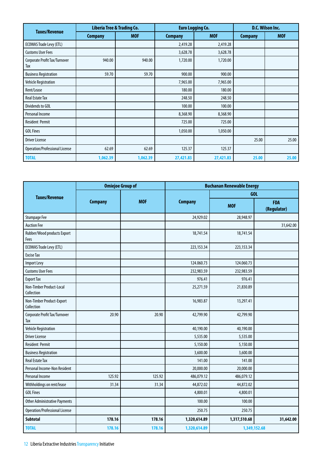| <b>Taxes/Revenue</b>                 | Liberia Tree & Trading Co. |            | <b>Euro Logging Co.</b> |            | D.C. Wilson Inc. |            |
|--------------------------------------|----------------------------|------------|-------------------------|------------|------------------|------------|
|                                      | <b>Company</b>             | <b>MOF</b> | <b>Company</b>          | <b>MOF</b> | <b>Company</b>   | <b>MOF</b> |
| <b>ECOWAS Trade Levy (ETL)</b>       |                            |            | 2,419.28                | 2,419.28   |                  |            |
| <b>Customs User Fees</b>             |                            |            | 3,628.78                | 3,628.78   |                  |            |
| Corporate Profit Tax/Turnover<br>Tax | 940.00                     | 940.00     | 1,720.00                | 1,720.00   |                  |            |
| <b>Business Registration</b>         | 59.70                      | 59.70      | 900.00                  | 900.00     |                  |            |
| Vehicle Registration                 |                            |            | 7,965.00                | 7,965.00   |                  |            |
| Rent/Lease                           |                            |            | 180.00                  | 180.00     |                  |            |
| <b>Real Estate Tax</b>               |                            |            | 248.50                  | 248.50     |                  |            |
| Dividends to GOL                     |                            |            | 100.00                  | 100.00     |                  |            |
| Personal Income                      |                            |            | 8,368.90                | 8,368.90   |                  |            |
| <b>Resident Permit</b>               |                            |            | 725.00                  | 725.00     |                  |            |
| <b>GOL Fines</b>                     |                            |            | 1,050.00                | 1,050.00   |                  |            |
| <b>Driver License</b>                |                            |            |                         |            | 25.00            | 25.00      |
| Operation/Professional License       | 62.69                      | 62.69      | 125.37                  | 125.37     |                  |            |
| <b>TOTAL</b>                         | 1,062.39                   | 1,062.39   | 27,421.83               | 27,421.83  | 25.00            | 25.00      |

|                                         | <b>Omiejoe Group of</b> |            | <b>Buchanan Renewable Energy</b> |              |                           |  |
|-----------------------------------------|-------------------------|------------|----------------------------------|--------------|---------------------------|--|
| <b>Taxes/Revenue</b>                    |                         |            |                                  | GOL          |                           |  |
|                                         | <b>Company</b>          | <b>MOF</b> | <b>Company</b>                   | <b>MOF</b>   | <b>FDA</b><br>(Regulator) |  |
| <b>Stumpage Fee</b>                     |                         |            | 24,929.02                        | 28,948.97    |                           |  |
| <b>Auction Fee</b>                      |                         |            |                                  |              | 31,642.00                 |  |
| Rubber/Wood products Export<br>Fees     |                         |            | 18,741.54                        | 18,741.54    |                           |  |
| <b>ECOWAS Trade Levy (ETL)</b>          |                         |            | 223, 153.34                      | 223, 153.34  |                           |  |
| <b>Excise Tax</b>                       |                         |            |                                  |              |                           |  |
| Import Levy                             |                         |            | 124.060.73                       | 124.060.73   |                           |  |
| <b>Customs User Fees</b>                |                         |            | 232,983.59                       | 232,983.59   |                           |  |
| <b>Export Tax</b>                       |                         |            | 976.41                           | 976.41       |                           |  |
| Non-Timber Product-Local<br>Collection  |                         |            | 25,271.59                        | 21,830.89    |                           |  |
| Non-Timber Product-Export<br>Collection |                         |            | 16,983.87                        | 13,297.41    |                           |  |
| Corporate Profit Tax/Turnover<br>Tax    | 20.90                   | 20.90      | 42,799.90                        | 42,799.90    |                           |  |
| <b>Vehicle Registration</b>             |                         |            | 40,190.00                        | 40,190.00    |                           |  |
| <b>Driver License</b>                   |                         |            | 5,535.00                         | 5,535.00     |                           |  |
| <b>Resident Permit</b>                  |                         |            | 5,150.00                         | 5,150.00     |                           |  |
| <b>Business Registration</b>            |                         |            | 3,600.00                         | 3,600.00     |                           |  |
| <b>Real Estate Tax</b>                  |                         |            | 141.00                           | 141.00       |                           |  |
| Personal Income-Non Resident            |                         |            | 20,000.00                        | 20,000.00    |                           |  |
| Personal Income                         | 125.92                  | 125.92     | 486,079.12                       | 486,079.12   |                           |  |
| Withholdings on rent/lease              | 31.34                   | 31.34      | 44,872.02                        | 44,872.02    |                           |  |
| <b>GOL Fines</b>                        |                         |            | 4,800.01                         | 4,800.01     |                           |  |
| <b>Other Administrative Payments</b>    |                         |            | 100.00                           | 100.00       |                           |  |
| <b>Operation/Professional License</b>   |                         |            | 250.75                           | 250.75       |                           |  |
| <b>Subtotal</b>                         | 178.16                  | 178.16     | 1,320,614.89                     | 1,317,510.68 | 31,642.00                 |  |
| <b>TOTAL</b>                            | 178.16                  | 178.16     | 1,320,614.89                     |              | 1,349,152.68              |  |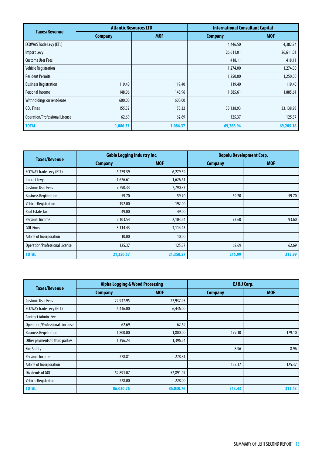| <b>Taxes/Revenue</b>                  | <b>Atlantic Resources LTD</b> |            | <b>International Consultant Capital</b> |            |  |
|---------------------------------------|-------------------------------|------------|-----------------------------------------|------------|--|
|                                       | <b>Company</b>                | <b>MOF</b> | <b>Company</b>                          | <b>MOF</b> |  |
| <b>ECOWAS Trade Levy (ETL)</b>        |                               |            | 4,446.50                                | 4,382.74   |  |
| Import Levy                           |                               |            | 26,611.01                               | 26,611.01  |  |
| <b>Customs User Fees</b>              |                               |            | 418.11                                  | 418.11     |  |
| Vehicle Registration                  |                               |            | 1,274.00                                | 1,274.00   |  |
| <b>Resident Permits</b>               |                               |            | 1,250.00                                | 1,250.00   |  |
| <b>Business Registration</b>          | 119.40                        | 119.40     | 119.40                                  | 119.40     |  |
| Personal Income                       | 148.96                        | 148.96     | 1,885.61                                | 1,885.61   |  |
| Withholdings on rent/lease            | 600.00                        | 600.00     |                                         |            |  |
| <b>GOL Fines</b>                      | 155.32                        | 155.32     | 33,138.93                               | 33,138.93  |  |
| <b>Operation/Professional License</b> | 62.69                         | 62.69      | 125.37                                  | 125.37     |  |
| <b>TOTAL</b>                          | 1,086.37                      | 1,086.37   | 69,268.94                               | 69,205.18  |  |

|                                       | <b>Geblo Logging Industry Inc.</b> |            | <b>Bopolu Development Corp.</b> |            |  |
|---------------------------------------|------------------------------------|------------|---------------------------------|------------|--|
| <b>Taxes/Revenue</b>                  | <b>Company</b>                     | <b>MOF</b> | <b>Company</b>                  | <b>MOF</b> |  |
| <b>ECOWAS Trade Levy (ETL)</b>        | 6,279.59                           | 6,279.59   |                                 |            |  |
| Import Levy                           | 1,626.61                           | 1,626.61   |                                 |            |  |
| <b>Customs User Fees</b>              | 7,790.33                           | 7,790.33   |                                 |            |  |
| <b>Business Registration</b>          | 59.70                              | 59.70      | 59.70                           | 59.70      |  |
| <b>Vehicle Registration</b>           | 192.00                             | 192.00     |                                 |            |  |
| <b>Real Estate Tax</b>                | 49.00                              | 49.00      |                                 |            |  |
| Personal Income                       | 2,103.54                           | 2,103.54   | 93.60                           | 93.60      |  |
| <b>GOL Fines</b>                      | 3,114.43                           | 3,114.43   |                                 |            |  |
| Article of Incorporation              | 10.00                              | 10.00      |                                 |            |  |
| <b>Operation/Professional License</b> | 125.37                             | 125.37     | 62.69                           | 62.69      |  |
| <b>TOTAL</b>                          | 21,350.57                          | 21,350.57  | 215.99                          | 215.99     |  |

| <b>Taxes/Revenue</b>                   | <b>Alpha Logging &amp; Wood Processing</b> |            | EJ & J Corp.   |            |
|----------------------------------------|--------------------------------------------|------------|----------------|------------|
|                                        | <b>Company</b>                             | <b>MOF</b> | <b>Company</b> | <b>MOF</b> |
| <b>Customs User Fees</b>               | 22,937.95                                  | 22,937.95  |                |            |
| <b>ECOWAS Trade Levy (ETL)</b>         | 6,436.00                                   | 6,436.00   |                |            |
| Contract Admin. Fee                    |                                            |            |                |            |
| <b>Operation/Professional Lincense</b> | 62.69                                      | 62.69      |                |            |
| <b>Business Registration</b>           | 1,800.00                                   | 1,800.00   | 179.10         | 179.10     |
| Other payments to third parties        | 1,396.24                                   | 1,396.24   |                |            |
| <b>Fire Safety</b>                     |                                            |            | 8.96           | 8.96       |
| Personal Income                        | 278.81                                     | 278.81     |                |            |
| Article of Incorporation               |                                            |            | 125.37         | 125.37     |
| Dividends of GOL                       | 52,891.07                                  | 52,891.07  |                |            |
| <b>Vehicle Registraton</b>             | 228.00                                     | 228.00     |                |            |
| <b>TOTAL</b>                           | 86.030.76                                  | 86.030.76  | 313.43         | 313.43     |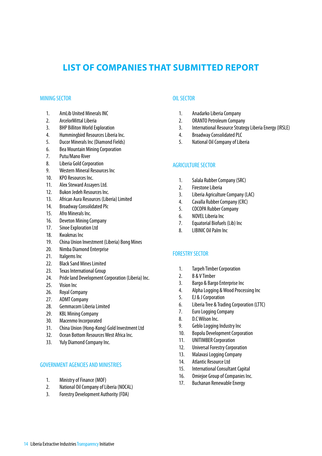# **LIST OF COMPANIES THAT SUBMITTED REPORT**

## MINING SECTOR

- 1. AmLib United Minerals INC
- 2. ArcelorMittal Liberia
- 3. BHP Billiton World Exploration
- 4. Hummingbird Resources Liberia Inc.
- 5. Ducor Minerals Inc (Diamond Fields)
- 6. Bea Mountain Mining Corporation
- 7. Putu/Mano River
- 8. Liberia Gold Corporation
- 9. Western Mineral Resources Inc
- 10. KPO Resources Inc.
- 11. Alex Steward Assayers Ltd.
- 12. Bukon Jedeh Resources Inc.
- 13. African Aura Resources (Liberia) Limited
- 14. Broadway Consolidated Plc
- 15. Afro Minerals Inc.
- 16. Deveton Mining Company
- 17. Sinoe Exploration Ltd
- 18. Kwakmas Inc
- 19. China Union Investment (Liberia) Bong Mines
- 20. Nimba Diamond Enterprise
- 21. Italgems Inc
- 22. Black Sand Mines Limited
- 23. Texas International Group
- 24. Pride land Development Corporation (Liberia) Inc.
- 25. Vision Inc
- 26. Royal Company
- 27. ADMT Company
- 28. Gemmacom Liberia Limited
- 29. KBL Mining Company
- 30. Macenmo Incorporated
- 31. China Union (Hong-Kong) Gold Investment Ltd
- 32. Ocean Bottom Resources West Africa Inc.
- 33. Yuly Diamond Company Inc.

## GOVERNMENT AGENCIES AND MINISTRIES

- 1. Ministry of Finance (MOF)
- 2. National Oil Company of Liberia (NOCAL)
- 3. Forestry Development Authority (FDA)

# OIL SECTOR

- 1. Anadarko Liberia Company
- 2. ORANTO Petroleum Company
- 3. International Resource Strategy Liberia Energy (IRSLE)
- 4. Broadway Consolidated PLC
- 5. National Oil Company of Liberia

## AGRICULTURE SECTOR

- 1. Salala Rubber Company (SRC)
- 2. Firestone Liberia
- 3. Liberia Agriculture Company (LAC)
- 4. Cavalla Rubber Company (CRC)
- 5. COCOPA Rubber Company
- 6. NOVEL Liberia Inc
- 7. Equatorial Biofuels (Lib) Inc
- 8. LIBINIC Oil Palm Inc

#### FORESTRY SECTOR

- 1. Tarpeh Timber Corporation
- 2. B & V Timber
- 3. Bargo & Bargo Enterprise Inc
- 4. Alpha Logging & Wood Processing Inc
- 5. EJ & J Corporation
- 6. Liberia Tree & Trading Corporation (LTTC)
- 7. Euro Logging Company
- 8. D.C Wilson Inc.
- 9. Geblo Logging Industry Inc
- 10. Bopolu Development Corporation
- 11. UNITIMBER Corporation
- 12. Universal Forestry Corporation
- 13. Malavasi Logging Company
- 14. Atlantic Resource Ltd
- 15. International Consultant Capital
- 16. Omiejoe Group of Companies Inc.
- 17. Buchanan Renewable Energy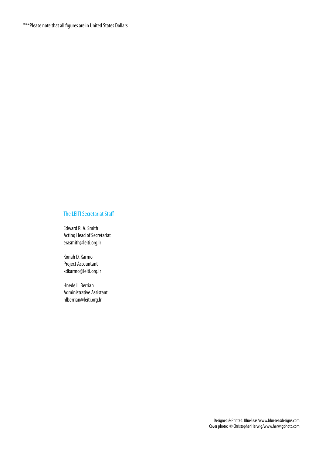\*\*\*Please note that all figures are in United States Dollars

## The LEITI Secretariat Staff

Edward R. A. Smith Acting Head of Secretariat erasmith@leiti.org.lr

Konah D. Karmo Project Accountant kdkarmo@leiti.org.lr

Hnede L. Berrian Administrative Assistant hlberrian@leiti.org.lr